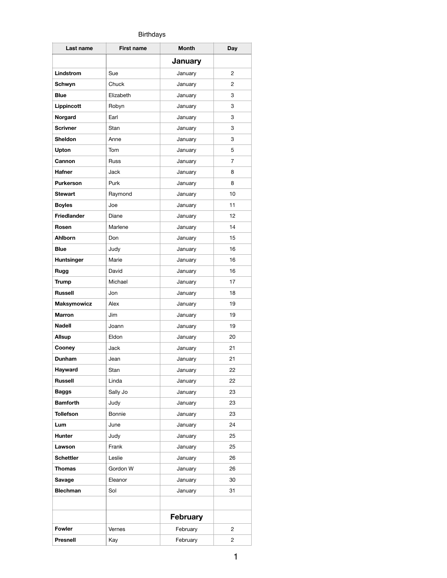## Birthdays

| Last name          | <b>First name</b> | <b>Month</b>    | Day |
|--------------------|-------------------|-----------------|-----|
|                    |                   | <b>January</b>  |     |
| Lindstrom          | Sue               | January         | 2   |
| Schwyn             | Chuck             | January         | 2   |
| <b>Blue</b>        | Elizabeth         | January         | 3   |
| Lippincott         | Robyn             | January         | 3   |
| Norgard            | Earl              | January         | 3   |
| <b>Scrivner</b>    | Stan              | January         | 3   |
| <b>Sheldon</b>     | Anne              | January         | 3   |
| Upton              | Tom               | January         | 5   |
| Cannon             | Russ              | January         | 7   |
| <b>Hafner</b>      | Jack              | January         | 8   |
| <b>Purkerson</b>   | Purk              | January         | 8   |
| <b>Stewart</b>     | Raymond           | January         | 10  |
| <b>Boyles</b>      | Joe               | January         | 11  |
| <b>Friedlander</b> | Diane             | January         | 12  |
| Rosen              | Marlene           | January         | 14  |
| Ahlborn            | Don               | January         | 15  |
| <b>Blue</b>        | Judy              | January         | 16  |
| Huntsinger         | Marie             | January         | 16  |
| Rugg               | David             | January         | 16  |
| <b>Trump</b>       | Michael           | January         | 17  |
| <b>Russell</b>     | Jon               | January         | 18  |
| Maksymowicz        | Alex              | January         | 19  |
| <b>Marron</b>      | Jim               | January         | 19  |
| Nadell             | Joann             | January         | 19  |
| Allsup             | Eldon             | January         | 20  |
| Cooney             | Jack              | January         | 21  |
| Dunham             | Jean              | January         | 21  |
| Hayward            | Stan              | January         | 22  |
| <b>Russell</b>     | Linda             | January         | 22  |
| <b>Baggs</b>       | Sally Jo          | January         | 23  |
| <b>Bamforth</b>    | Judy              | January         | 23  |
| <b>Tollefson</b>   | Bonnie            | January         | 23  |
| Lum                | June              | January         | 24  |
| Hunter             | Judy              | January         | 25  |
| Lawson             | Frank             | January         | 25  |
| <b>Schettler</b>   | Leslie            | January         | 26  |
| Thomas             | Gordon W          | January         | 26  |
| Savage             | Eleanor           | January         | 30  |
| <b>Blechman</b>    | Sol               | January         | 31  |
|                    |                   |                 |     |
|                    |                   | <b>February</b> |     |
| Fowler             | Vernes            | February        | 2   |
| Presnell           | Kay               | February        | 2   |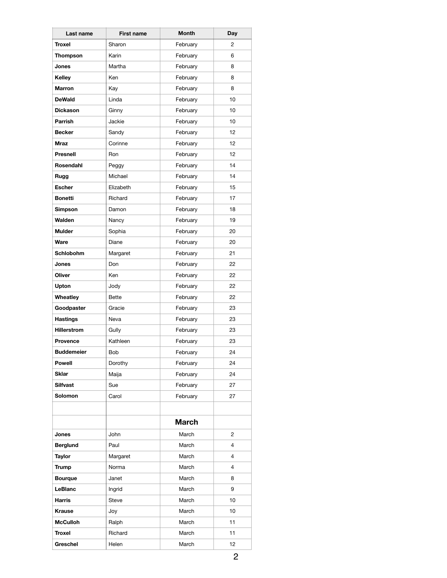| Last name          | <b>First name</b> | <b>Month</b> | Day            |
|--------------------|-------------------|--------------|----------------|
| Troxel             | Sharon            | February     | 2              |
| Thompson           | Karin             | February     | 6              |
| Jones              | Martha            | February     | 8              |
| Kelley             | Ken               | February     | 8              |
| <b>Marron</b>      | Kay               | February     | 8              |
| <b>DeWald</b>      | Linda             | February     | 10             |
| <b>Dickason</b>    | Ginny             | February     | 10             |
| Parrish            | Jackie            | February     | 10             |
| <b>Becker</b>      | Sandy             | February     | 12             |
| <b>Mraz</b>        | Corinne           | February     | 12             |
| <b>Presnell</b>    | Ron               | February     | 12             |
| Rosendahl          | Peggy             | February     | 14             |
| Rugg               | Michael           | February     | 14             |
| <b>Escher</b>      | Elizabeth         | February     | 15             |
| <b>Bonetti</b>     | Richard           | February     | 17             |
| <b>Simpson</b>     | Damon             | February     | 18             |
| Walden             | Nancy             | February     | 19             |
| <b>Mulder</b>      | Sophia            | February     | 20             |
| Ware               | Diane             | February     | 20             |
| Schlobohm          | Margaret          | February     | 21             |
| Jones              | Don               | February     | 22             |
| Oliver             | Ken               | February     | 22             |
| Upton              | Jody              | February     | 22             |
| Wheatley           | <b>Bette</b>      | February     | 22             |
| Goodpaster         | Gracie            | February     | 23             |
| <b>Hastings</b>    | Neva              | February     | 23             |
| <b>Hillerstrom</b> | Gully             | February     | 23             |
| <b>Provence</b>    | Kathleen          | February     | 23             |
| <b>Buddemeier</b>  | Bob               | February     | 24             |
| <b>Powell</b>      | Dorothy           | February     | 24             |
| <b>Sklar</b>       | Maija             | February     | 24             |
| <b>Silfvast</b>    | Sue               | February     | 27             |
| Solomon            | Carol             | February     | 27             |
|                    |                   |              |                |
|                    |                   | <b>March</b> |                |
| Jones              | John              | March        | 2              |
| <b>Berglund</b>    | Paul              | March        | 4              |
| <b>Taylor</b>      | Margaret          | March        | 4              |
| <b>Trump</b>       | Norma             | March        | $\overline{4}$ |
| <b>Bourque</b>     | Janet             | March        | 8              |
| LeBlanc            | Ingrid            | March        | 9              |
| Harris             | Steve             | March        | 10             |
| <b>Krause</b>      | Joy               | March        | 10             |
| <b>McCulloh</b>    |                   | March        | 11             |
|                    | Ralph             |              |                |
| Troxel             | Richard           | March        | 11             |
| Greschel           | Helen             | March        | 12             |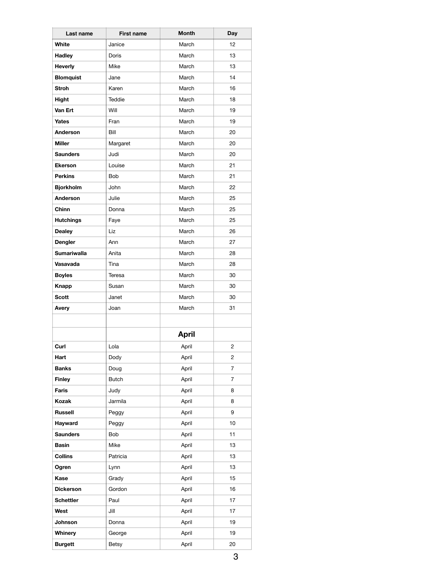| Last name          | <b>First name</b> | <b>Month</b> | Day            |
|--------------------|-------------------|--------------|----------------|
| White              | Janice            | March        | 12             |
| Hadley             | Doris             | March        | 13             |
| <b>Heverly</b>     | Mike              | March        | 13             |
| <b>Blomquist</b>   | Jane              | March        | 14             |
| <b>Stroh</b>       | Karen             | March        | 16             |
| Hight              | Teddie            | March        | 18             |
| Van Ert            | Will              | March        | 19             |
| Yates              | Fran              | March        | 19             |
| Anderson           | Bill              | March        | 20             |
| <b>Miller</b>      | Margaret          | March        | 20             |
| <b>Saunders</b>    | Judi              | March        | 20             |
| <b>Ekerson</b>     | Louise            | March        | 21             |
| <b>Perkins</b>     | <b>Bob</b>        | March        | 21             |
| <b>Bjorkholm</b>   | John              | March        | 22             |
| Anderson           | Julie             | March        | 25             |
| Chinn              | Donna             | March        | 25             |
| <b>Hutchings</b>   | Faye              | March        | 25             |
| <b>Dealey</b>      | Liz               | March        | 26             |
| Dengler            | Ann               | March        | 27             |
| <b>Sumariwalla</b> | Anita             | March        | 28             |
| Vasavada           | Tina              | March        | 28             |
| <b>Boyles</b>      | Teresa            | March        | 30             |
| Knapp              | Susan             | March        | 30             |
| <b>Scott</b>       | Janet             | March        | 30             |
| Avery              | Joan              | March        | 31             |
|                    |                   |              |                |
|                    |                   | <b>April</b> |                |
| Curl               | Lola              | April        | $\overline{2}$ |
| Hart               | Dody              | April        | 2              |
| <b>Banks</b>       | Doug              | April        | 7              |
| <b>Finley</b>      | <b>Butch</b>      | April        | 7              |
| Faris              | Judy              | April        | 8              |
| Kozak              | Jarmila           | April        | 8              |
| <b>Russell</b>     | Peggy             | April        | 9              |
| Hayward            | Peggy             | April        | 10             |
| <b>Saunders</b>    | <b>Bob</b>        | April        | 11             |
| Basin              | Mike              | April        | 13             |
| Collins            | Patricia          | April        | 13             |
| Ogren              | Lynn              | April        | 13             |
| Kase               | Grady             | April        | 15             |
| <b>Dickerson</b>   | Gordon            | April        | 16             |
| <b>Schettler</b>   | Paul              | April        | 17             |
| West               | Jill              | April        | 17             |
| Johnson            | Donna             | April        | 19             |
| Whinery            | George            | April        | 19             |
| <b>Burgett</b>     | <b>Betsy</b>      | April        | 20             |
|                    |                   |              |                |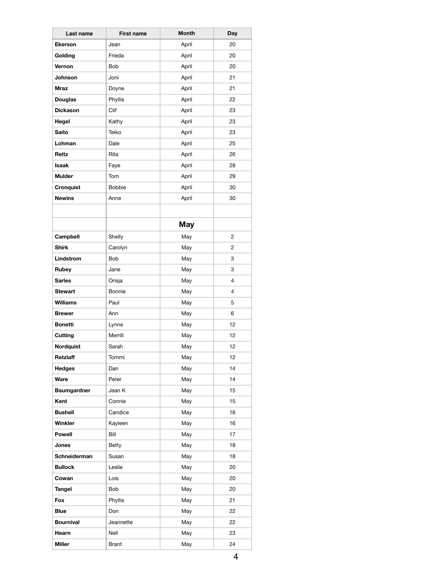| Last name          | <b>First name</b> | <b>Month</b> | Day            |
|--------------------|-------------------|--------------|----------------|
| <b>Ekerson</b>     | Jean              | April        | 20             |
| Golding            | Frieda            | April        | 20             |
| Vernon             | <b>Bob</b>        | April        | 20             |
| <b>Johnson</b>     | Joni              | April        | 21             |
| <b>Mraz</b>        | Doyne             | April        | 21             |
| <b>Douglas</b>     | Phyllis           | April        | 22             |
| <b>Dickason</b>    | Clif              | April        | 23             |
| Hegel              | Kathy             | April        | 23             |
| <b>Saito</b>       | Teiko             | April        | 23             |
| Lohman             | Dale              | April        | 25             |
| Reitz              | Rita              | April        | 26             |
| Isaak              | Faye              | April        | 28             |
| <b>Mulder</b>      | Tom               | April        | 29             |
| Cronquist          | <b>Bobbie</b>     | April        | 30             |
| <b>Newins</b>      | Anne              | April        | 30             |
|                    |                   |              |                |
|                    |                   |              |                |
|                    |                   | <b>May</b>   |                |
| Campbell           | Shelly            | May          | 2              |
| <b>Shirk</b>       | Carolyn           | May          | 2              |
| Lindstrom          | Bob               | May          | 3              |
| Rubey              | Jane              | May          | 3              |
| <b>Sarles</b>      | Orisja            | May          | 4              |
| <b>Stewart</b>     | Bonnie            | May          | $\overline{4}$ |
| <b>Williams</b>    | Paul              | May          | 5              |
| <b>Brewer</b>      | Ann               | May          | 6              |
| <b>Bonetti</b>     | Lynne             | May          | 12             |
| Cutting            | Merrill           | May          | 12             |
| <b>Nordquist</b>   | Sarah             | May          | 12             |
| Retzlaff           | Tommi             | May          | 12             |
| <b>Hedges</b>      | Dan               | May          | 14             |
| Ware               | Peter             | May          | 14             |
| <b>Baumgardner</b> | Jean K            | May          | 15             |
| Kent               | Connie            | May          | 15             |
| <b>Bushell</b>     | Candice           | May          | 16             |
| <b>Winkler</b>     | Kayleen           | May          | 16             |
| <b>Powell</b>      | Bill              | May          | 17             |
| Jones              | Betty             | May          | 18             |
| Schneiderman       | Susan             | May          | 18             |
| <b>Bullock</b>     | Leslie            | May          | 20             |
| Cowan              | Lois              | May          | 20             |
| Tangel             | Bob               | May          | 20             |
| Fox                | Phyllis           | May          | 21             |
| <b>Blue</b>        | Don               | May          | 22             |
| <b>Bournival</b>   | Jeannette         | May          | 22             |
| Hearn              | Nell              | May          | 23             |
| Miller             | Brant             | May          | 24             |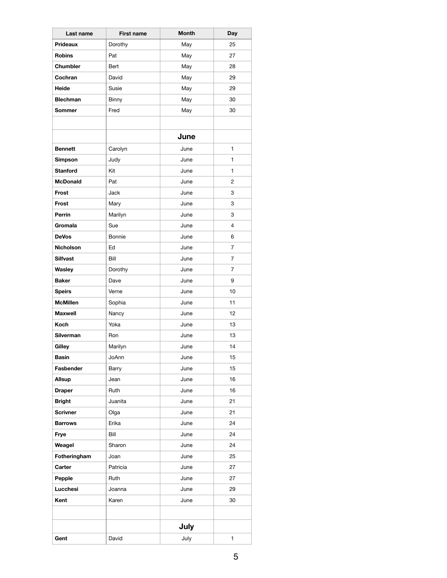| Last name        | <b>First name</b> | <b>Month</b> | Day          |
|------------------|-------------------|--------------|--------------|
| Prideaux         | Dorothy           | May          | 25           |
| <b>Robins</b>    | Pat               | May          | 27           |
| Chumbler         | Bert              | May          | 28           |
| Cochran          | David             | May          | 29           |
| Heide            | Susie             | May          | 29           |
| <b>Blechman</b>  | Binny             | May          | 30           |
| <b>Sommer</b>    | Fred              | May          | 30           |
|                  |                   |              |              |
|                  |                   | June         |              |
| <b>Bennett</b>   | Carolyn           | June         | 1            |
| <b>Simpson</b>   | Judy              | June         | $\mathbf{1}$ |
| <b>Stanford</b>  | Kit               | June         | 1            |
| <b>McDonald</b>  | Pat               | June         | 2            |
| Frost            | Jack              | June         | 3            |
| Frost            | Mary              | June         | 3            |
| Perrin           | Marilyn           | June         | 3            |
| Gromala          | Sue               | June         | 4            |
| <b>DeVos</b>     | Bonnie            | June         | 6            |
| <b>Nicholson</b> | Ed                | June         | 7            |
| <b>Silfvast</b>  | Bill              | June         | 7            |
| Wasley           | Dorothy           | June         | 7            |
| <b>Baker</b>     | Dave              | June         | 9            |
| <b>Speirs</b>    | Verne             | June         | 10           |
| <b>McMillen</b>  | Sophia            | June         | 11           |
| <b>Maxwell</b>   | Nancy             | June         | 12           |
| Koch             | Yoka              | June         | 13           |
| <b>Silverman</b> | Ron               | June         | 13           |
| Gilley           | Marilyn           | June         | 14           |
| <b>Basin</b>     | JoAnn             | June         | 15           |
| Fasbender        | Barry             | June         | 15           |
| Allsup           | Jean              | June         | 16           |
| <b>Draper</b>    | Ruth              | June         | 16           |
| <b>Bright</b>    | Juanita           | June         | 21           |
| <b>Scrivner</b>  | Olga              | June         | 21           |
| <b>Barrows</b>   | Erika             | June         | 24           |
| Frye             | Bill              | June         | 24           |
| Weagel           | Sharon            | June         | 24           |
| Fotheringham     | Joan              | June         | 25           |
| Carter           | Patricia          | June         | 27           |
| Pepple           | Ruth              | June         | 27           |
| Lucchesi         | Joanna            | June         | 29           |
| Kent             | Karen             | June         | 30           |
|                  |                   |              |              |
|                  |                   |              |              |
|                  |                   | July         |              |
| Gent             | David             | July         | 1            |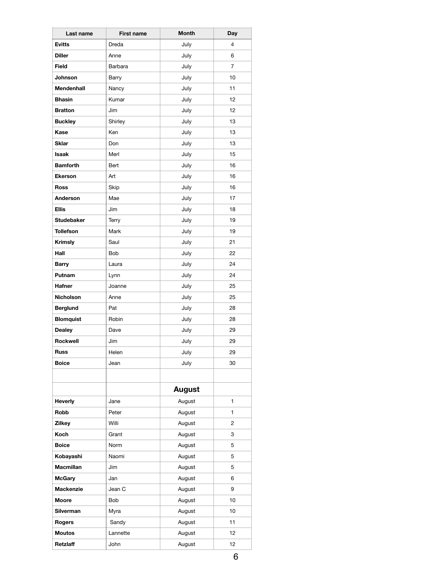| Last name         | <b>First name</b> | <b>Month</b> | Day            |
|-------------------|-------------------|--------------|----------------|
| <b>Evitts</b>     | Dreda             | July         | $\overline{4}$ |
| <b>Diller</b>     | Anne              | July         | 6              |
| <b>Field</b>      | Barbara           | July         | 7              |
| Johnson           | Barry             | July         | 10             |
| <b>Mendenhall</b> | Nancy             | July         | 11             |
| <b>Bhasin</b>     | Kumar             | July         | 12             |
| <b>Bratton</b>    | Jim               | July         | 12             |
| <b>Buckley</b>    | Shirley           | July         | 13             |
| Kase              | Ken               | July         | 13             |
| <b>Sklar</b>      | Don               | July         | 13             |
| <b>Isaak</b>      | Merl              | July         | 15             |
| <b>Bamforth</b>   | Bert              | July         | 16             |
| <b>Ekerson</b>    | Art               | July         | 16             |
| <b>Ross</b>       | Skip              | July         | 16             |
| Anderson          | Mae               | July         | 17             |
| <b>Ellis</b>      | Jim               | July         | 18             |
| <b>Studebaker</b> | Terry             | July         | 19             |
| <b>Tollefson</b>  | Mark              | July         | 19             |
| Krimsly           | Saul              | July         | 21             |
| Hall              | <b>Bob</b>        | July         | 22             |
| <b>Barry</b>      | Laura             | July         | 24             |
| Putnam            | Lynn              | July         | 24             |
| Hafner            | Joanne            | July         | 25             |
| Nicholson         | Anne              | July         | 25             |
| <b>Berglund</b>   | Pat               | July         | 28             |
| <b>Blomquist</b>  | Robin             | July         | 28             |
| <b>Dealey</b>     | Dave              | July         | 29             |
| Rockwell          | Jim               | July         | 29             |
| <b>Russ</b>       | Helen             | July         | 29             |
| <b>Boice</b>      | Jean              | July         | 30             |
|                   |                   |              |                |
|                   |                   | August       |                |
| Heverly           | Jane              | August       | 1              |
| Robb              | Peter             | August       | 1              |
| <b>Zilkey</b>     | Willi             | August       | 2              |
| Koch              | Grant             | August       | 3              |
| <b>Boice</b>      | Norm              | August       | 5              |
| Kobayashi         | Naomi             | August       | 5              |
| Macmillan         | Jim               | August       | 5              |
| <b>McGary</b>     | Jan               | August       | 6              |
| Mackenzie         | Jean C            | August       | 9              |
| Moore             | Bob               | August       | 10             |
| Silverman         | Myra              | August       | 10             |
| Rogers            | Sandy             | August       | 11             |
| <b>Moutos</b>     | Lannette          | August       | 12             |
| Retzlaff          | John              | August       | 12             |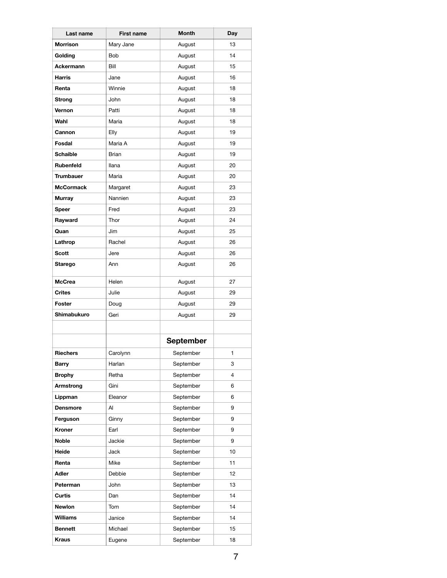| Last name        | <b>First name</b> | <b>Month</b>     | Day            |
|------------------|-------------------|------------------|----------------|
| <b>Morrison</b>  | Mary Jane         | August           | 13             |
| Golding          | <b>Bob</b>        | August           | 14             |
| Ackermann        | Bill              | August           | 15             |
| <b>Harris</b>    | Jane              | August           | 16             |
| Renta            | Winnie            | August           | 18             |
| <b>Strong</b>    | John              | August           | 18             |
| Vernon           | Patti             | August           | 18             |
| Wahl             | Maria             | August           | 18             |
| Cannon           | Elly              | August           | 19             |
| Fosdal           | Maria A           | August           | 19             |
| <b>Schaible</b>  | Brian             | August           | 19             |
| Rubenfeld        | llana             | August           | 20             |
| <b>Trumbauer</b> | Maria             | August           | 20             |
| <b>McCormack</b> | Margaret          | August           | 23             |
| <b>Murray</b>    | Nannien           | August           | 23             |
| Speer            | Fred              | August           | 23             |
| Rayward          | Thor              | August           | 24             |
| Quan             | Jim               | August           | 25             |
| Lathrop          | Rachel            | August           | 26             |
| Scott            | Jere              | August           | 26             |
| Starego          | Ann               | August           | 26             |
| <b>McCrea</b>    | Helen             | August           | 27             |
| <b>Crites</b>    | Julie             | August           | 29             |
| Foster           | Doug              | August           | 29             |
| Shimabukuro      | Geri              | August           | 29             |
|                  |                   |                  |                |
|                  |                   | <b>September</b> |                |
| <b>Riechers</b>  | Carolynn          | September        | 1.             |
| <b>Barry</b>     | Harlan            | September        | 3              |
| <b>Brophy</b>    | Retha             | September        | $\overline{4}$ |
| Armstrong        | Gini              | September        | 6              |
| Lippman          | Eleanor           | September        | 6              |
| <b>Densmore</b>  | Al                | September        | 9              |
| Ferguson         | Ginny             | September        | 9              |
| Kroner           | Earl              | September        | 9              |
| Noble            | Jackie            | September        | 9              |
| Heide            | Jack              | September        | 10             |
| Renta            | Mike              | September        | 11             |
| Adler            | Debbie            | September        | 12             |
| Peterman         | John              | September        | 13             |
| Curtis           | Dan               | September        | 14             |
| Newlon           | Tom               | September        | 14             |
| <b>Williams</b>  | Janice            | September        | 14             |
| <b>Bennett</b>   | Michael           | September        | 15             |
| <b>Kraus</b>     | Eugene            | September        | 18             |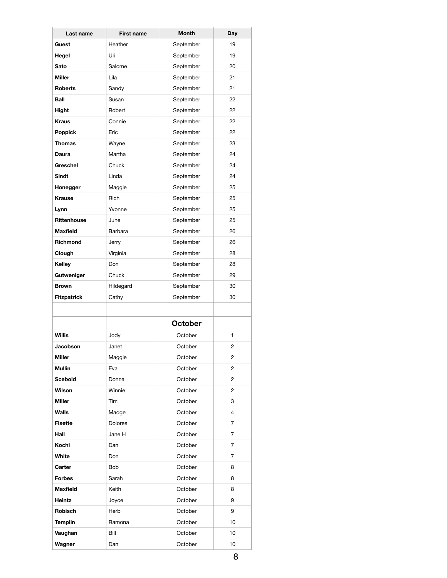| Last name          | <b>First name</b> | Month          | Day            |
|--------------------|-------------------|----------------|----------------|
| Guest              | Heather           | September      | 19             |
| Hegel              | Uli               | September      | 19             |
| Sato               | Salome            | September      | 20             |
| <b>Miller</b>      | Lila              | September      | 21             |
| <b>Roberts</b>     | Sandy             | September      | 21             |
| Ball               | Susan             | September      | 22             |
| Hight              | Robert            | September      | 22             |
| <b>Kraus</b>       | Connie            | September      | 22             |
| <b>Poppick</b>     | Eric              | September      | 22             |
| <b>Thomas</b>      | Wayne             | September      | 23             |
| Daura              | Martha            | September      | 24             |
| Greschel           | Chuck             | September      | 24             |
| Sindt              | Linda             | September      | 24             |
| Honegger           | Maggie            | September      | 25             |
| <b>Krause</b>      | Rich              | September      | 25             |
| Lynn               | Yvonne            | September      | 25             |
| Rittenhouse        | June              | September      | 25             |
| <b>Maxfield</b>    | Barbara           | September      | 26             |
| Richmond           | Jerry             | September      | 26             |
| Clough             | Virginia          | September      | 28             |
| Kelley             | Don               | September      | 28             |
| Gutweniger         | Chuck             | September      | 29             |
| <b>Brown</b>       | Hildegard         | September      | 30             |
| <b>Fitzpatrick</b> | Cathy             | September      | 30             |
|                    |                   |                |                |
|                    |                   | <b>October</b> |                |
| <b>Willis</b>      | Jody              | October        | 1              |
| Jacobson           | Janet             | October        | 2              |
| <b>Miller</b>      | Maggie            | October        | 2              |
| <b>Mullin</b>      | Eva               | October        | 2              |
| <b>Scebold</b>     | Donna             | October        | $\overline{2}$ |
| Wilson             | Winnie            | October        | 2              |
| <b>Miller</b>      | Tim               | October        | 3              |
| Walls              | Madge             | October        | 4              |
| <b>Fisette</b>     | <b>Dolores</b>    | October        | $\overline{7}$ |
| Hall               | Jane H            | October        | 7              |
| Kochi              | Dan               | October        | $\overline{7}$ |
| White              | Don               | October        | 7              |
| Carter             | Bob               | October        | 8              |
| <b>Forbes</b>      | Sarah             | October        | 8              |
| <b>Maxfield</b>    | Keith             | October        | 8              |
| Heintz             | Joyce             | October        | 9              |
| Robisch            | Herb              | October        | 9              |
| <b>Templin</b>     | Ramona            | October        | 10             |
| Vaughan            | Bill              | October        | 10             |
| Wagner             | Dan               | October        | 10             |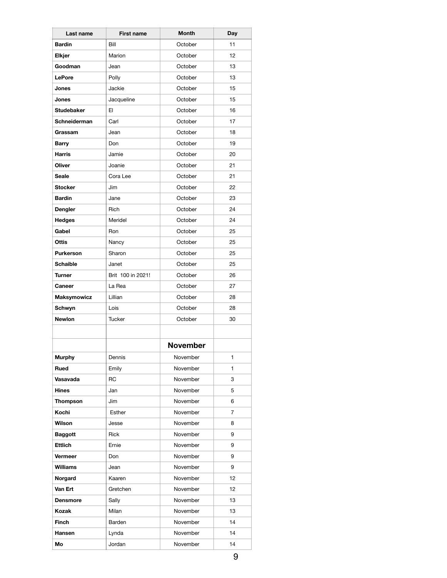| Last name         | <b>First name</b> | <b>Month</b>    | Day |
|-------------------|-------------------|-----------------|-----|
| <b>Bardin</b>     | Bill              | October         | 11  |
| Elkjer            | Marion            | October         | 12  |
| Goodman           | Jean              | October         | 13  |
| LePore            | Polly             | October         | 13  |
| Jones             | Jackie            | October         | 15  |
| Jones             | Jacqueline        | October         | 15  |
| <b>Studebaker</b> | EI                | October         | 16  |
| Schneiderman      | Carl              | October         | 17  |
| Grassam           | Jean              | October         | 18  |
| <b>Barry</b>      | Don               | October         | 19  |
| <b>Harris</b>     | Jamie             | October         | 20  |
| Oliver            | Joanie            | October         | 21  |
| <b>Seale</b>      | Cora Lee          | October         | 21  |
| <b>Stocker</b>    | Jim               | October         | 22  |
| <b>Bardin</b>     | Jane              | October         | 23  |
| Dengler           | Rich              | October         | 24  |
| <b>Hedges</b>     | Meridel           | October         | 24  |
| Gabel             | Ron               | October         | 25  |
| Ottis             | Nancy             | October         | 25  |
| <b>Purkerson</b>  | Sharon            | October         | 25  |
| <b>Schaible</b>   | Janet             | October         | 25  |
| <b>Turner</b>     | Brit 100 in 2021! | October         | 26  |
| Caneer            | La Rea            | October         | 27  |
| Maksymowicz       | Lillian           | October         | 28  |
| Schwyn            | Lois              | October         | 28  |
| <b>Newlon</b>     | <b>Tucker</b>     | October         | 30  |
|                   |                   |                 |     |
|                   |                   | <b>November</b> |     |
| <b>Murphy</b>     | Dennis            | November        | 1   |
| Rued              | Emily             | November        | 1   |
| Vasavada          | RC                | November        | 3   |
| Hines             | Jan               | November        | 5   |
| Thompson          | Jim               | November        | 6   |
| Kochi             | Esther            | November        | 7   |
| Wilson            | Jesse             | November        | 8   |
| <b>Baggott</b>    | Rick              | November        | 9   |
| Ettlich           | Ernie             | November        | 9   |
| Vermeer           | Don               | November        | 9   |
| <b>Williams</b>   | Jean              | November        | 9   |
| Norgard           | Kaaren            | November        | 12  |
| Van Ert           | Gretchen          | November        | 12  |
| <b>Densmore</b>   | Sally             | November        | 13  |
| Kozak             | Milan             | November        | 13  |
| Finch             | Barden            | November        | 14  |
| <b>Hansen</b>     | Lynda             | November        | 14  |
| Mo                | Jordan            | November        | 14  |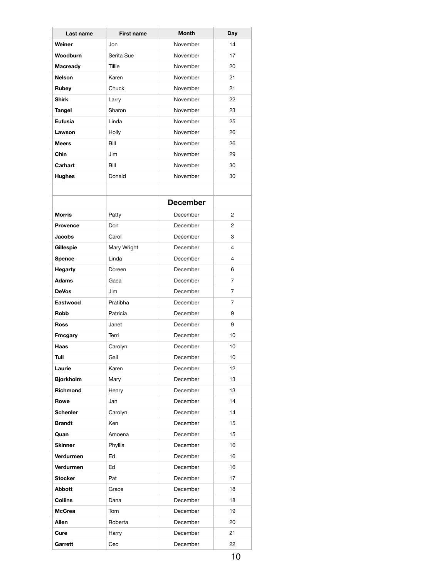| Last name        | <b>First name</b> | Month           | Day |
|------------------|-------------------|-----------------|-----|
| Weiner           | Jon               | November        | 14  |
| Woodburn         | Serita Sue        | November        | 17  |
| <b>Macready</b>  | Tillie            | November        | 20  |
| <b>Nelson</b>    | Karen             | November        | 21  |
| Rubey            | Chuck             | November        | 21  |
| <b>Shirk</b>     | Larry             | November        | 22  |
| Tangel           | Sharon            | November        | 23  |
| <b>Eufusia</b>   | Linda             | November        | 25  |
| Lawson           | Holly             | November        | 26  |
| <b>Meers</b>     | Bill              | November        | 26  |
| Chin             | Jim               | November        | 29  |
| Carhart          | Bill              | November        | 30  |
| <b>Hughes</b>    | Donald            | November        | 30  |
|                  |                   |                 |     |
|                  |                   |                 |     |
|                  |                   | <b>December</b> |     |
| <b>Morris</b>    | Patty             | December        | 2   |
| <b>Provence</b>  | Don               | December        | 2   |
| <b>Jacobs</b>    | Carol             | December        | 3   |
| Gillespie        | Mary Wright       | December        | 4   |
| <b>Spence</b>    | Linda             | December        | 4   |
| <b>Hegarty</b>   | Doreen            | December        | 6   |
| <b>Adams</b>     | Gaea              | December        | 7   |
| <b>DeVos</b>     | Jim               | December        | 7   |
| Eastwood         | Pratibha          | December        | 7   |
| Robb             | Patricia          | December        | 9   |
| Ross             | Janet             | December        | 9   |
| <b>Fmcgary</b>   | Terri             | December        | 10  |
| Haas             | Carolyn           | December        | 10  |
| Tull             | Gail              | December        | 10  |
| Laurie           | Karen             | December        | 12  |
| <b>Bjorkholm</b> | Mary              | December        | 13  |
| Richmond         | Henry             | December        | 13  |
| Rowe             | Jan               | December        | 14  |
| <b>Schenler</b>  | Carolyn           | December        | 14  |
| <b>Brandt</b>    | Ken               | December        | 15  |
| Quan             | Amoena            | December        | 15  |
| <b>Skinner</b>   | Phyllis           | December        | 16  |
| <b>Verdurmen</b> | Ed                | December        | 16  |
| <b>Verdurmen</b> | Ed                | December        | 16  |
| <b>Stocker</b>   | Pat               | December        | 17  |
| <b>Abbott</b>    | Grace             | December        | 18  |
| <b>Collins</b>   | Dana              | December        | 18  |
| <b>McCrea</b>    | Tom               | December        | 19  |
| Allen            | Roberta           | December        | 20  |
| Cure             | Harry             | December        | 21  |
| Garrett          | Cec               | December        | 22  |